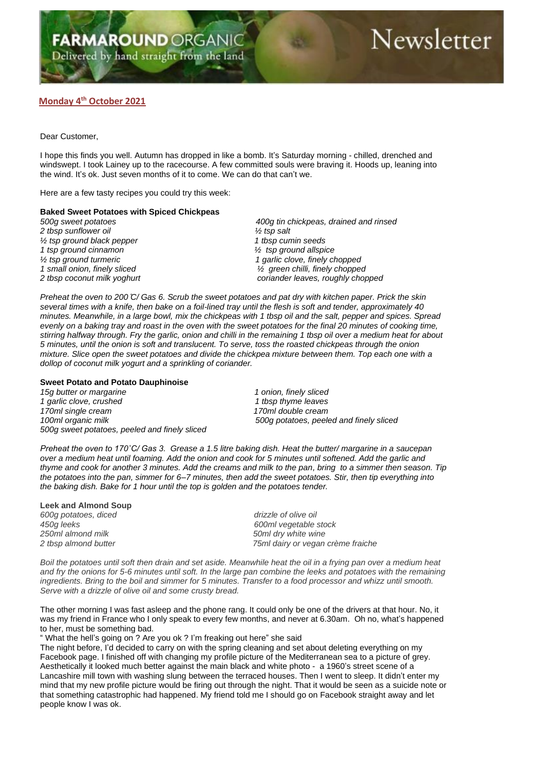## **Monday 4 th October 2021**

Dear Customer,

I hope this finds you well. Autumn has dropped in like a bomb. It's Saturday morning - chilled, drenched and windswept. I took Lainey up to the racecourse. A few committed souls were braving it. Hoods up, leaning into the wind. It's ok. Just seven months of it to come. We can do that can't we.

Here are a few tasty recipes you could try this week:

## **Baked Sweet Potatoes with Spiced Chickpeas**

*2 tbsp sunflower oil ½ tsp salt ½ tsp ground black pepper 1 tbsp cumin seeds 1 tsp ground cinnamon ½ tsp ground allspice*

*500g sweet potatoes 400g tin chickpeas, drained and rinsed ½ tsp ground turmeric 1 garlic clove, finely chopped 1 small onion, finely sliced ½ green chilli, finely chopped 2 tbsp coconut milk yoghurt coriander leaves, roughly chopped*

*Preheat the oven to 200 ̊C/ Gas 6. Scrub the sweet potatoes and pat dry with kitchen paper. Prick the skin several times with a knife, then bake on a foil-lined tray until the flesh is soft and tender, approximately 40 minutes. Meanwhile, in a large bowl, mix the chickpeas with 1 tbsp oil and the salt, pepper and spices. Spread evenly on a baking tray and roast in the oven with the sweet potatoes for the final 20 minutes of cooking time, stirring halfway through. Fry the garlic, onion and chilli in the remaining 1 tbsp oil over a medium heat for about 5 minutes, until the onion is soft and translucent. To serve, toss the roasted chickpeas through the onion mixture. Slice open the sweet potatoes and divide the chickpea mixture between them. Top each one with a dollop of coconut milk yogurt and a sprinkling of coriander.*

## **Sweet Potato and Potato Dauphinoise**

*15g butter or margarine 1 onion, finely sliced* 1 garlic clove, crushed 1 the 1 the 1 the 1 the 1 the 1 the 1 the 1 the 1 the 1 the 1 the 1 the 1 the 1 the 1 the 1 the 1 the 1 the 1 the 1 the 1 the 1 the 1 the 1 the 1 the 1 the 1 the 1 the 1 the 1 the 1 the 1 the 1 the *170ml single cream 170ml double cream 100ml organic milk 500g potatoes, peeled and finely sliced 500g sweet potatoes, peeled and finely sliced*

*Preheat the oven to 170˚C/ Gas 3. Grease a 1.5 litre baking dish. Heat the butter/ margarine in a saucepan over a medium heat until foaming. Add the onion and cook for 5 minutes until softened. Add the garlic and thyme and cook for another 3 minutes. Add the creams and milk to the pan, bring to a simmer then season. Tip the potatoes into the pan, simmer for 6–7 minutes, then add the sweet potatoes. Stir, then tip everything into the baking dish. Bake for 1 hour until the top is golden and the potatoes tender.*

**Leek and Almond Soup** *600g potatoes, diced drizzle of olive oil 450g leeks 600ml vegetable stock*

*250ml almond milk 50ml dry white wine 2 tbsp almond butter 75ml dairy or vegan crème fraiche*

*Boil the potatoes until soft then drain and set aside. Meanwhile heat the oil in a frying pan over a medium heat and fry the onions for 5-6 minutes until soft. In the large pan combine the leeks and potatoes with the remaining ingredients. Bring to the boil and simmer for 5 minutes. Transfer to a food processor and whizz until smooth. Serve with a drizzle of olive oil and some crusty bread.*

The other morning I was fast asleep and the phone rang. It could only be one of the drivers at that hour. No, it was my friend in France who I only speak to every few months, and never at 6.30am. Oh no, what's happened to her, must be something bad.

" What the hell's going on ? Are you ok ? I'm freaking out here" she said

The night before, I'd decided to carry on with the spring cleaning and set about deleting everything on my Facebook page. I finished off with changing my profile picture of the Mediterranean sea to a picture of grey. Aesthetically it looked much better against the main black and white photo - a 1960's street scene of a Lancashire mill town with washing slung between the terraced houses. Then I went to sleep. It didn't enter my mind that my new profile picture would be firing out through the night. That it would be seen as a suicide note or that something catastrophic had happened. My friend told me I should go on Facebook straight away and let people know I was ok.